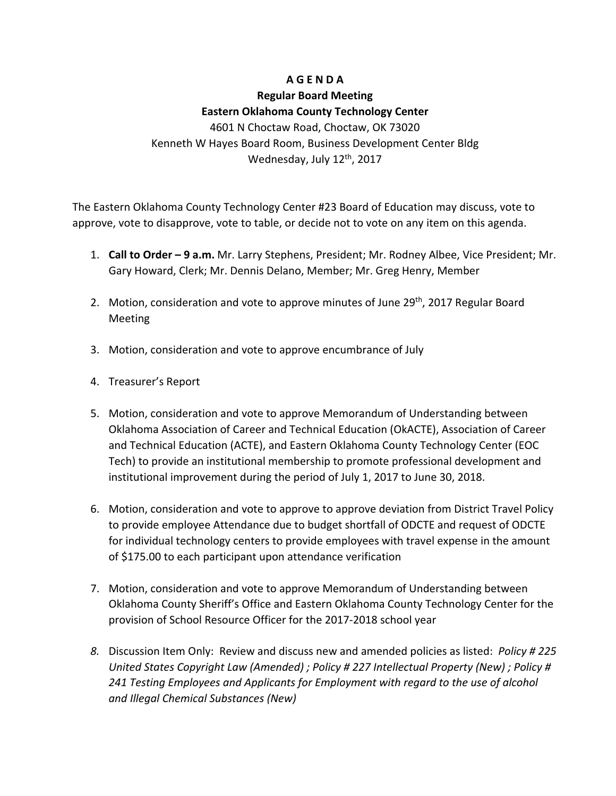## **A G E N D A**

## **Regular Board Meeting Eastern Oklahoma County Technology Center**

4601 N Choctaw Road, Choctaw, OK 73020 Kenneth W Hayes Board Room, Business Development Center Bldg Wednesday, July 12<sup>th</sup>, 2017

The Eastern Oklahoma County Technology Center #23 Board of Education may discuss, vote to approve, vote to disapprove, vote to table, or decide not to vote on any item on this agenda.

- 1. **Call to Order – 9 a.m.** Mr. Larry Stephens, President; Mr. Rodney Albee, Vice President; Mr. Gary Howard, Clerk; Mr. Dennis Delano, Member; Mr. Greg Henry, Member
- 2. Motion, consideration and vote to approve minutes of June 29<sup>th</sup>, 2017 Regular Board **Meeting**
- 3. Motion, consideration and vote to approve encumbrance of July
- 4. Treasurer's Report
- 5. Motion, consideration and vote to approve Memorandum of Understanding between Oklahoma Association of Career and Technical Education (OkACTE), Association of Career and Technical Education (ACTE), and Eastern Oklahoma County Technology Center (EOC Tech) to provide an institutional membership to promote professional development and institutional improvement during the period of July 1, 2017 to June 30, 2018.
- 6. Motion, consideration and vote to approve to approve deviation from District Travel Policy to provide employee Attendance due to budget shortfall of ODCTE and request of ODCTE for individual technology centers to provide employees with travel expense in the amount of \$175.00 to each participant upon attendance verification
- 7. Motion, consideration and vote to approve Memorandum of Understanding between Oklahoma County Sheriff's Office and Eastern Oklahoma County Technology Center for the provision of School Resource Officer for the 2017‐2018 school year
- *8.* Discussion Item Only: Review and discuss new and amended policies as listed: *Policy # 225 United States Copyright Law (Amended) ; Policy # 227 Intellectual Property (New) ; Policy # 241 Testing Employees and Applicants for Employment with regard to the use of alcohol and Illegal Chemical Substances (New)*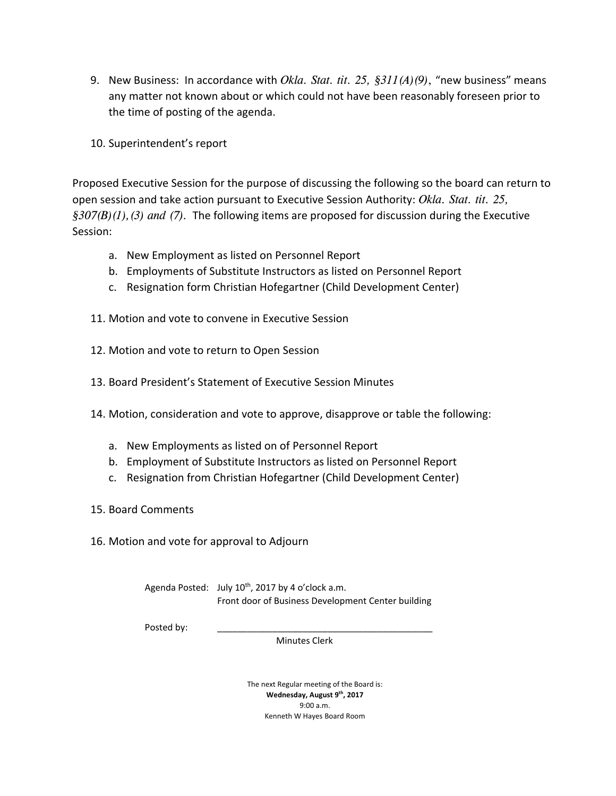- 9. New Business: In accordance with *Okla. Stat. tit. 25, §311(A)(9)*, "new business" means any matter not known about or which could not have been reasonably foreseen prior to the time of posting of the agenda.
- 10. Superintendent's report

Proposed Executive Session for the purpose of discussing the following so the board can return to open session and take action pursuant to Executive Session Authority: *Okla. Stat. tit. 25, §307(B)(1),(3) and (7).* The following items are proposed for discussion during the Executive Session:

- a. New Employment as listed on Personnel Report
- b. Employments of Substitute Instructors as listed on Personnel Report
- c. Resignation form Christian Hofegartner (Child Development Center)
- 11. Motion and vote to convene in Executive Session
- 12. Motion and vote to return to Open Session
- 13. Board President's Statement of Executive Session Minutes
- 14. Motion, consideration and vote to approve, disapprove or table the following:
	- a. New Employments as listed on of Personnel Report
	- b. Employment of Substitute Instructors as listed on Personnel Report
	- c. Resignation from Christian Hofegartner (Child Development Center)
- 15. Board Comments
- 16. Motion and vote for approval to Adjourn

Agenda Posted: July  $10^{th}$ , 2017 by 4 o'clock a.m. Front door of Business Development Center building

Posted by:

Minutes Clerk

The next Regular meeting of the Board is: **Wednesday, August 9th, 2017** 9:00 a.m. Kenneth W Hayes Board Room